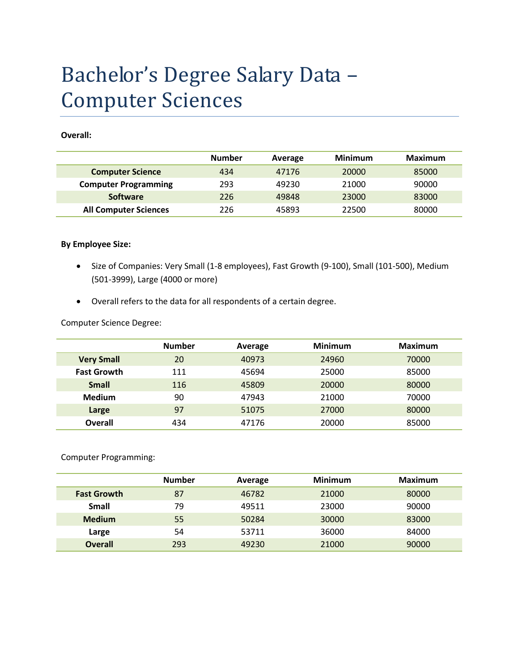# Bachelor's Degree Salary Data – Computer Sciences

**Overall:**

|                              | <b>Number</b> | Average | <b>Minimum</b> | <b>Maximum</b> |
|------------------------------|---------------|---------|----------------|----------------|
| <b>Computer Science</b>      | 434           | 47176   | 20000          | 85000          |
| <b>Computer Programming</b>  | 293           | 49230   | 21000          | 90000          |
| <b>Software</b>              | 226           | 49848   | 23000          | 83000          |
| <b>All Computer Sciences</b> | 226           | 45893   | 22500          | 80000          |

#### **By Employee Size:**

- Size of Companies: Very Small (1-8 employees), Fast Growth (9-100), Small (101-500), Medium (501-3999), Large (4000 or more)
- Overall refers to the data for all respondents of a certain degree.

Computer Science Degree:

|                    | <b>Number</b> | Average | <b>Minimum</b> | Maximum |
|--------------------|---------------|---------|----------------|---------|
| <b>Very Small</b>  | 20            | 40973   | 24960          | 70000   |
| <b>Fast Growth</b> | 111           | 45694   | 25000          | 85000   |
| <b>Small</b>       | 116           | 45809   | 20000          | 80000   |
| <b>Medium</b>      | 90            | 47943   | 21000          | 70000   |
| Large              | 97            | 51075   | 27000          | 80000   |
| <b>Overall</b>     | 434           | 47176   | 20000          | 85000   |

Computer Programming:

|                    | <b>Number</b> | Average | <b>Minimum</b> | <b>Maximum</b> |
|--------------------|---------------|---------|----------------|----------------|
| <b>Fast Growth</b> | 87            | 46782   | 21000          | 80000          |
| <b>Small</b>       | 79            | 49511   | 23000          | 90000          |
| <b>Medium</b>      | 55            | 50284   | 30000          | 83000          |
| Large              | 54            | 53711   | 36000          | 84000          |
| <b>Overall</b>     | 293           | 49230   | 21000          | 90000          |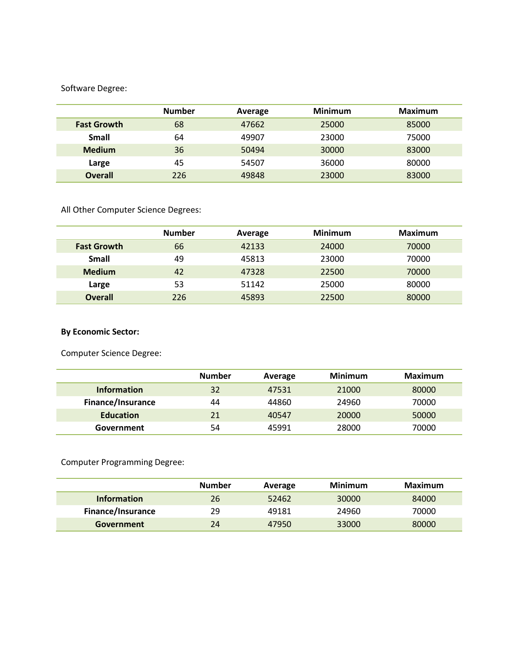#### Software Degree:

|                    | <b>Number</b> | Average | <b>Minimum</b> | Maximum |
|--------------------|---------------|---------|----------------|---------|
| <b>Fast Growth</b> | 68            | 47662   | 25000          | 85000   |
| Small              | 64            | 49907   | 23000          | 75000   |
| <b>Medium</b>      | 36            | 50494   | 30000          | 83000   |
| Large              | 45            | 54507   | 36000          | 80000   |
| <b>Overall</b>     | 226           | 49848   | 23000          | 83000   |

All Other Computer Science Degrees:

|                    | <b>Number</b> | Average | <b>Minimum</b> | <b>Maximum</b> |
|--------------------|---------------|---------|----------------|----------------|
| <b>Fast Growth</b> | 66            | 42133   | 24000          | 70000          |
| <b>Small</b>       | 49            | 45813   | 23000          | 70000          |
| <b>Medium</b>      | 42            | 47328   | 22500          | 70000          |
| Large              | 53            | 51142   | 25000          | 80000          |
| <b>Overall</b>     | 226           | 45893   | 22500          | 80000          |

## **By Economic Sector:**

Computer Science Degree:

|                          | <b>Number</b> | Average | <b>Minimum</b> | <b>Maximum</b> |
|--------------------------|---------------|---------|----------------|----------------|
| <b>Information</b>       | 32            | 47531   | 21000          | 80000          |
| <b>Finance/Insurance</b> | 44            | 44860   | 24960          | 70000          |
| <b>Education</b>         | 21            | 40547   | 20000          | 50000          |
| Government               | 54            | 45991   | 28000          | 70000          |

Computer Programming Degree:

|                    | <b>Number</b> | Average | Minimum | Maximum |
|--------------------|---------------|---------|---------|---------|
| <b>Information</b> | 26            | 52462   | 30000   | 84000   |
| Finance/Insurance  | 29            | 49181   | 24960   | 70000   |
| Government         | 24            | 47950   | 33000   | 80000   |